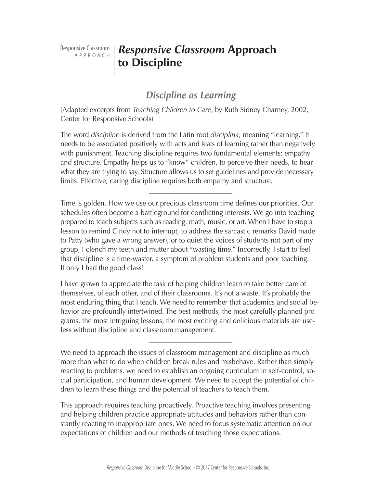Responsive Classroom a p p r o a c h

# *Responsive Classroom* **Approach to Discipline**

# *Discipline as Learning*

(Adapted excerpts from *Teaching Children to Care*, by Ruth Sidney Charney, 2002, Center for Responsive Schools)

The word *discipline* is derived from the Latin root *disciplina*, meaning "learning." It needs to be associated positively with acts and feats of learning rather than negatively with punishment. Teaching discipline requires two fundamental elements: empathy and structure. Empathy helps us to "know" children, to perceive their needs, to hear what they are trying to say. Structure allows us to set guidelines and provide necessary limits. Effective, caring discipline requires both empathy and structure.

Time is golden. How we use our precious classroom time defines our priorities. Our schedules often become a battleground for conflicting interests. We go into teaching prepared to teach subjects such as reading, math, music, or art. When I have to stop a lesson to remind Cindy not to interrupt, to address the sarcastic remarks David made to Patty (who gave a wrong answer), or to quiet the voices of students not part of my group, I clench my teeth and mutter about "wasting time." Incorrectly, I start to feel that discipline is a time-waster, a symptom of problem students and poor teaching. If only I had the good class!

I have grown to appreciate the task of helping children learn to take better care of themselves, of each other, and of their classrooms. It's not a waste. It's probably the most enduring thing that I teach. We need to remember that academics and social behavior are profoundly intertwined. The best methods, the most carefully planned programs, the most intriguing lessons, the most exciting and delicious materials are useless without discipline and classroom management.

We need to approach the issues of classroom management and discipline as much more than what to do when children break rules and misbehave. Rather than simply reacting to problems, we need to establish an ongoing curriculum in self-control, social participation, and human development. We need to accept the potential of children to learn these things and the potential of teachers to teach them.

This approach requires teaching proactively. Proactive teaching involves presenting and helping children practice appropriate attitudes and behaviors rather than constantly reacting to inappropriate ones. We need to focus systematic attention on our expectations of children and our methods of teaching those expectations.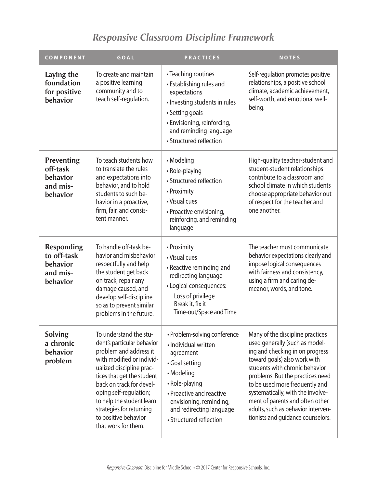# *Responsive Classroom Discipline Framework*

| <b>COMPONENT</b>                                                     | GOAL                                                                                                                                                                                                                                                                                                                                | <b>PRACTICES</b>                                                                                                                                                                                                                  | <b>NOTES</b>                                                                                                                                                                                                                                                                                                                                                                                     |
|----------------------------------------------------------------------|-------------------------------------------------------------------------------------------------------------------------------------------------------------------------------------------------------------------------------------------------------------------------------------------------------------------------------------|-----------------------------------------------------------------------------------------------------------------------------------------------------------------------------------------------------------------------------------|--------------------------------------------------------------------------------------------------------------------------------------------------------------------------------------------------------------------------------------------------------------------------------------------------------------------------------------------------------------------------------------------------|
| Laying the<br>foundation<br>for positive<br>behavior                 | To create and maintain<br>a positive learning<br>community and to<br>teach self-regulation.                                                                                                                                                                                                                                         | • Teaching routines<br>• Establishing rules and<br>expectations<br>· Investing students in rules<br>• Setting goals<br>• Envisioning, reinforcing,<br>and reminding language<br>• Structured reflection                           | Self-regulation promotes positive<br>relationships, a positive school<br>climate, academic achievement,<br>self-worth, and emotional well-<br>being.                                                                                                                                                                                                                                             |
| Preventing<br>off-task<br>behavior<br>and mis-<br>behavior           | To teach students how<br>to translate the rules<br>and expectations into<br>behavior, and to hold<br>students to such be-<br>havior in a proactive,<br>firm, fair, and consis-<br>tent manner.                                                                                                                                      | • Modeling<br>• Role-playing<br>• Structured reflection<br>• Proximity<br>• Visual cues<br>• Proactive envisioning,<br>reinforcing, and reminding<br>language                                                                     | High-quality teacher-student and<br>student-student relationships<br>contribute to a classroom and<br>school climate in which students<br>choose appropriate behavior out<br>of respect for the teacher and<br>one another.                                                                                                                                                                      |
| <b>Responding</b><br>to off-task<br>behavior<br>and mis-<br>behavior | To handle off-task be-<br>havior and misbehavior<br>respectfully and help<br>the student get back<br>on track, repair any<br>damage caused, and<br>develop self-discipline<br>so as to prevent similar<br>problems in the future.                                                                                                   | • Proximity<br>• Visual cues<br>• Reactive reminding and<br>redirecting language<br>• Logical consequences:<br>Loss of privilege<br>Break it, fix it<br>Time-out/Space and Time                                                   | The teacher must communicate<br>behavior expectations clearly and<br>impose logical consequences<br>with fairness and consistency,<br>using a firm and caring de-<br>meanor, words, and tone.                                                                                                                                                                                                    |
| <b>Solving</b><br>a chronic<br>behavior<br>problem                   | To understand the stu-<br>dent's particular behavior<br>problem and address it<br>with modified or individ-<br>ualized discipline prac-<br>tices that get the student<br>back on track for devel-<br>oping self-regulation;<br>to help the student learn<br>strategies for returning<br>to positive behavior<br>that work for them. | · Problem-solving conference<br>· Individual written<br>agreement<br>• Goal setting<br>• Modeling<br>• Role-playing<br>• Proactive and reactive<br>envisioning, reminding,<br>and redirecting language<br>• Structured reflection | Many of the discipline practices<br>used generally (such as model-<br>ing and checking in on progress<br>toward goals) also work with<br>students with chronic behavior<br>problems. But the practices need<br>to be used more frequently and<br>systematically, with the involve-<br>ment of parents and often other<br>adults, such as behavior interven-<br>tionists and guidance counselors. |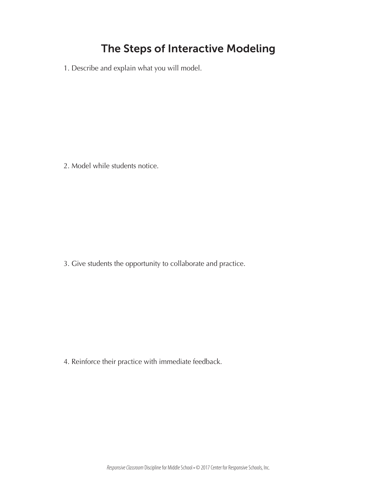# **The Steps of Interactive Modeling**

1. Describe and explain what you will model.

2. Model while students notice.

3. Give students the opportunity to collaborate and practice.

4. Reinforce their practice with immediate feedback.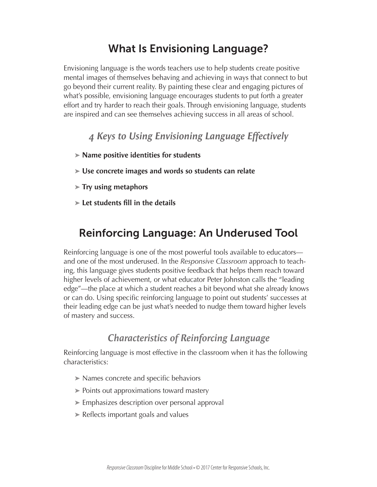# **What Is Envisioning Language?**

Envisioning language is the words teachers use to help students create positive mental images of themselves behaving and achieving in ways that connect to but go beyond their current reality. By painting these clear and engaging pictures of what's possible, envisioning language encourages students to put forth a greater effort and try harder to reach their goals. Through envisioning language, students are inspired and can see themselves achieving success in all areas of school.

# *4 Keys to Using Envisioning Language Effectively*

- **➤ Name positive identities for students**
- **➤ Use concrete images and words so students can relate**
- **➤ Try using metaphors**
- **➤ Let students fill in the details**

# **Reinforcing Language: An Underused Tool**

Reinforcing language is one of the most powerful tools available to educators and one of the most underused. In the *Responsive Classroom* approach to teaching, this language gives students positive feedback that helps them reach toward higher levels of achievement, or what educator Peter Johnston calls the "leading edge"—the place at which a student reaches a bit beyond what she already knows or can do. Using specific reinforcing language to point out students' successes at their leading edge can be just what's needed to nudge them toward higher levels of mastery and success.

# *Characteristics of Reinforcing Language*

Reinforcing language is most effective in the classroom when it has the following characteristics:

- **➤** Names concrete and specific behaviors
- **➤** Points out approximations toward mastery
- **➤** Emphasizes description over personal approval
- **➤** Reflects important goals and values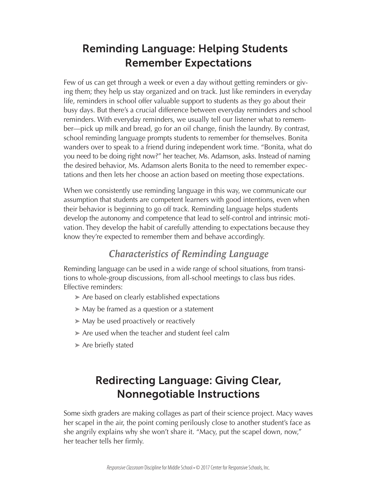# **Reminding Language: Helping Students Remember Expectations**

Few of us can get through a week or even a day without getting reminders or giving them; they help us stay organized and on track. Just like reminders in everyday life, reminders in school offer valuable support to students as they go about their busy days. But there's a crucial difference between everyday reminders and school reminders. With everyday reminders, we usually tell our listener what to remember—pick up milk and bread, go for an oil change, finish the laundry. By contrast, school reminding language prompts students to remember for themselves. Bonita wanders over to speak to a friend during independent work time. "Bonita, what do you need to be doing right now?" her teacher, Ms. Adamson, asks. Instead of naming the desired behavior, Ms. Adamson alerts Bonita to the need to remember expectations and then lets her choose an action based on meeting those expectations.

When we consistently use reminding language in this way, we communicate our assumption that students are competent learners with good intentions, even when their behavior is beginning to go off track. Reminding language helps students develop the autonomy and competence that lead to self-control and intrinsic motivation. They develop the habit of carefully attending to expectations because they know they're expected to remember them and behave accordingly.

# *Characteristics of Reminding Language*

Reminding language can be used in a wide range of school situations, from transitions to whole-group discussions, from all-school meetings to class bus rides. Effective reminders:

- **➤** Are based on clearly established expectations
- **➤** May be framed as a question or a statement
- **➤** May be used proactively or reactively
- **➤** Are used when the teacher and student feel calm
- **➤** Are briefly stated

# **Redirecting Language: Giving Clear, Nonnegotiable Instructions**

Some sixth graders are making collages as part of their science project. Macy waves her scapel in the air, the point coming perilously close to another student's face as she angrily explains why she won't share it. "Macy, put the scapel down, now," her teacher tells her firmly.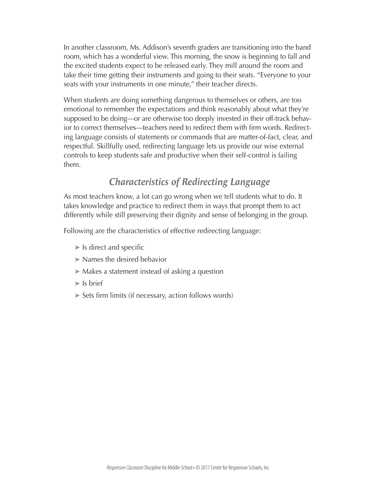In another classroom, Ms. Addison's seventh graders are transitioning into the band room, which has a wonderful view. This morning, the snow is beginning to fall and the excited students expect to be released early. They mill around the room and take their time getting their instruments and going to their seats. "Everyone to your seats with your instruments in one minute," their teacher directs.

When students are doing something dangerous to themselves or others, are too emotional to remember the expectations and think reasonably about what they're supposed to be doing—or are otherwise too deeply invested in their off-track behavior to correct themselves—teachers need to redirect them with firm words. Redirecting language consists of statements or commands that are matter-of-fact, clear, and respectful. Skillfully used, redirecting language lets us provide our wise external controls to keep students safe and productive when their self-control is failing them.

# *Characteristics of Redirecting Language*

As most teachers know, a lot can go wrong when we tell students what to do. It takes knowledge and practice to redirect them in ways that prompt them to act differently while still preserving their dignity and sense of belonging in the group.

Following are the characteristics of effective redirecting language:

- **➤** Is direct and specific
- **➤** Names the desired behavior
- **➤** Makes a statement instead of asking a question
- **➤** Is brief
- **➤** Sets firm limits (if necessary, action follows words)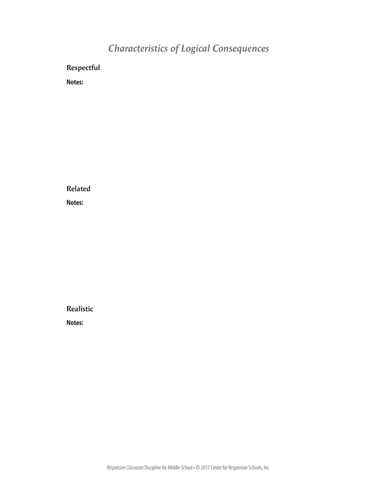# *Characteristics of Logical Consequences*

**Respectful**

**Notes:**

**Related Notes:**

**Realistic**

**Notes:**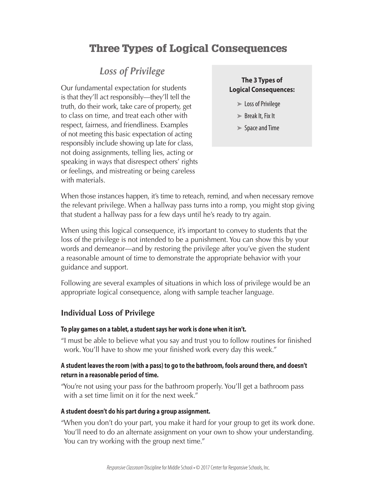# **Three Types of Logical Consequences**

# *Loss of Privilege*

Our fundamental expectation for students is that they'll act responsibly—they'll tell the truth, do their work, take care of property, get to class on time, and treat each other with respect, fairness, and friendliness. Examples of not meeting this basic expectation of acting responsibly include showing up late for class, not doing assignments, telling lies, acting or speaking in ways that disrespect others' rights or feelings, and mistreating or being careless with materials.

### **The 3 Types of Logical Consequences:**

- **➤** LossofPrivilege
- ► Break It, Fix It
- ► Space and Time

When those instances happen, it's time to reteach, remind, and when necessary remove the relevant privilege. When a hallway pass turns into a romp, you might stop giving that student a hallway pass for a few days until he's ready to try again.

When using this logical consequence, it's important to convey to students that the loss of the privilege is not intended to be a punishment. You can show this by your words and demeanor—and by restoring the privilege after you've given the student a reasonable amount of time to demonstrate the appropriate behavior with your guidance and support.

Following are several examples of situations in which loss of privilege would be an appropriate logical consequence, along with sample teacher language.

### **Individual Loss of Privilege**

#### **To play games on a tablet, a student says her work is done when it isn't.**

"I must be able to believe what you say and trust you to follow routines for finished work. You'll have to show me your finished work every day this week."

### **A student leaves the room (with a pass) to go to the bathroom, fools around there, and doesn't return in a reasonable period of time.**

"You're not using your pass for the bathroom properly. You'll get a bathroom pass with a set time limit on it for the next week."

#### **A student doesn't do his part during a group assignment.**

"When you don't do your part, you make it hard for your group to get its work done. You'll need to do an alternate assignment on your own to show your understanding. You can try working with the group next time."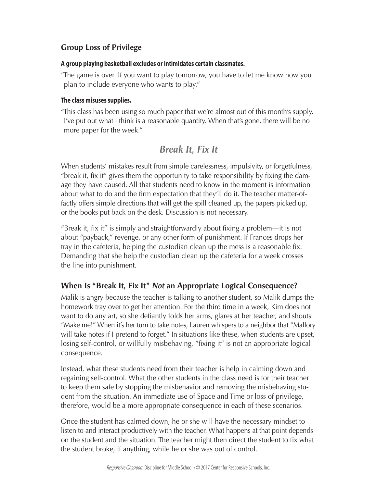## **Group Loss of Privilege**

### **A group playing basketball excludes or intimidates certain classmates.**

"The game is over. If you want to play tomorrow, you have to let me know how you plan to include everyone who wants to play."

### **The class misuses supplies.**

"This class has been using so much paper that we're almost out of this month's supply. I've put out what I think is a reasonable quantity. When that's gone, there will be no more paper for the week."

# *Break It, Fix It*

When students' mistakes result from simple carelessness, impulsivity, or forgetfulness, "break it, fix it" gives them the opportunity to take responsibility by fixing the damage they have caused. All that students need to know in the moment is information about what to do and the firm expectation that they'll do it. The teacher matter-offactly offers simple directions that will get the spill cleaned up, the papers picked up, or the books put back on the desk. Discussion is not necessary.

"Break it, fix it" is simply and straightforwardly about fixing a problem—it is not about "payback," revenge, or any other form of punishment. If Frances drops her tray in the cafeteria, helping the custodian clean up the mess is a reasonable fix. Demanding that she help the custodian clean up the cafeteria for a week crosses the line into punishment.

## **When Is "Break It, Fix It"** *Not* **an Appropriate Logical Consequence?**

Malik is angry because the teacher is talking to another student, so Malik dumps the homework tray over to get her attention. For the third time in a week, Kim does not want to do any art, so she defiantly folds her arms, glares at her teacher, and shouts "Make me!" When it's her turn to take notes, Lauren whispers to a neighbor that "Mallory will take notes if I pretend to forget." In situations like these, when students are upset, losing self-control, or willfully misbehaving, "fixing it" is not an appropriate logical consequence.

Instead, what these students need from their teacher is help in calming down and regaining self-control. What the other students in the class need is for their teacher to keep them safe by stopping the misbehavior and removing the misbehaving student from the situation. An immediate use of Space and Time or loss of privilege, therefore, would be a more appropriate consequence in each of these scenarios.

Once the student has calmed down, he or she will have the necessary mindset to listen to and interact productively with the teacher. What happens at that point depends on the student and the situation. The teacher might then direct the student to fix what the student broke, if anything, while he or she was out of control.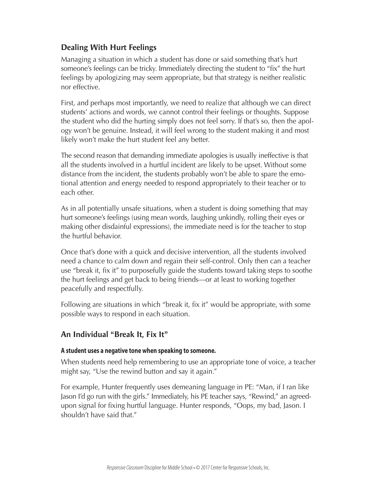## **Dealing With Hurt Feelings**

Managing a situation in which a student has done or said something that's hurt someone's feelings can be tricky. Immediately directing the student to "fix" the hurt feelings by apologizing may seem appropriate, but that strategy is neither realistic nor effective.

First, and perhaps most importantly, we need to realize that although we can direct students' actions and words, we cannot control their feelings or thoughts. Suppose the student who did the hurting simply does not feel sorry. If that's so, then the apology won't be genuine. Instead, it will feel wrong to the student making it and most likely won't make the hurt student feel any better.

The second reason that demanding immediate apologies is usually ineffective is that all the students involved in a hurtful incident are likely to be upset. Without some distance from the incident, the students probably won't be able to spare the emotional attention and energy needed to respond appropriately to their teacher or to each other.

As in all potentially unsafe situations, when a student is doing something that may hurt someone's feelings (using mean words, laughing unkindly, rolling their eyes or making other disdainful expressions), the immediate need is for the teacher to stop the hurtful behavior.

Once that's done with a quick and decisive intervention, all the students involved need a chance to calm down and regain their self-control. Only then can a teacher use "break it, fix it" to purposefully guide the students toward taking steps to soothe the hurt feelings and get back to being friends—or at least to working together peacefully and respectfully.

Following are situations in which "break it, fix it" would be appropriate, with some possible ways to respond in each situation.

## **An Individual "Break It, Fix It"**

#### **A student uses a negative tone when speaking to someone.**

When students need help remembering to use an appropriate tone of voice, a teacher might say, "Use the rewind button and say it again."

For example, Hunter frequently uses demeaning language in PE: "Man, if I ran like Jason I'd go run with the girls." Immediately, his PE teacher says, "Rewind," an agreedupon signal for fixing hurtful language. Hunter responds, "Oops, my bad, Jason. I shouldn't have said that."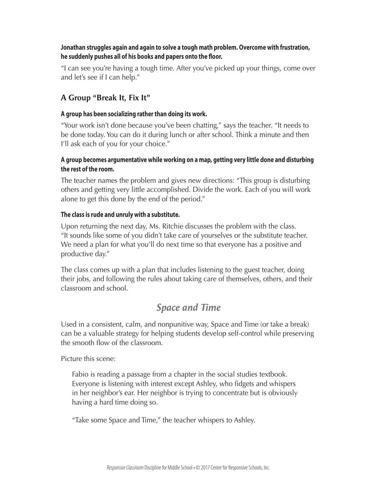### **Jonathan struggles again and again to solve a tough math problem. Overcome with frustration, he suddenly pushes all of his books and papers onto the floor.**

"I can see you're having a tough time. After you've picked up your things, come over and let's see if I can help."

## **A Group "Break It, Fix It"**

### **A group has been socializing rather than doing its work.**

"Your work isn't done because you've been chatting," says the teacher. "It needs to be done today. You can do it during lunch or after school. Think a minute and then I'll ask each of you for your choice."

### **A group becomes argumentative while working on a map, getting very little done and disturbing the rest of the room.**

The teacher names the problem and gives new directions: "This group is disturbing others and getting very little accomplished. Divide the work. Each of you will work alone to get this done by the end of the period."

### **The class is rude and unruly with a substitute.**

Upon returning the next day, Ms. Ritchie discusses the problem with the class. "It sounds like some of you didn't take care of yourselves or the substitute teacher. We need a plan for what you'll do next time so that everyone has a positive and productive day."

The class comes up with a plan that includes listening to the guest teacher, doing their jobs, and following the rules about taking care of themselves, others, and their classroom and school.

# *Space and Time*

Used in a consistent, calm, and nonpunitive way, Space and Time (or take a break) can be a valuable strategy for helping students develop self-control while preserving the smooth flow of the classroom.

Picture this scene:

Fabio is reading a passage from a chapter in the social studies textbook. Everyone is listening with interest except Ashley, who fidgets and whispers in her neighbor's ear. Her neighbor is trying to concentrate but is obviously having a hard time doing so.

"Take some Space and Time," the teacher whispers to Ashley.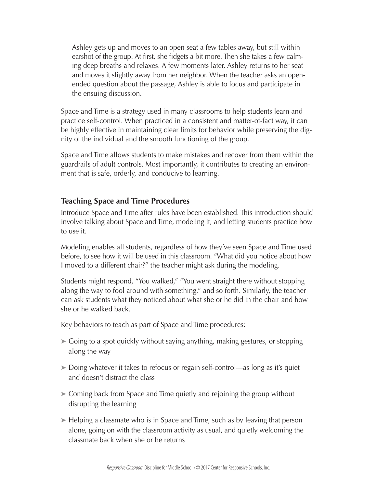Ashley gets up and moves to an open seat a few tables away, but still within earshot of the group. At first, she fidgets a bit more. Then she takes a few calming deep breaths and relaxes. A few moments later, Ashley returns to her seat and moves it slightly away from her neighbor. When the teacher asks an openended question about the passage, Ashley is able to focus and participate in the ensuing discussion.

Space and Time is a strategy used in many classrooms to help students learn and practice self-control. When practiced in a consistent and matter-of-fact way, it can be highly effective in maintaining clear limits for behavior while preserving the dignity of the individual and the smooth functioning of the group.

Space and Time allows students to make mistakes and recover from them within the guardrails of adult controls. Most importantly, it contributes to creating an environment that is safe, orderly, and conducive to learning.

## **Teaching Space and Time Procedures**

Introduce Space and Time after rules have been established. This introduction should involve talking about Space and Time, modeling it, and letting students practice how to use it.

Modeling enables all students, regardless of how they've seen Space and Time used before, to see how it will be used in this classroom. "What did you notice about how I moved to a different chair?" the teacher might ask during the modeling.

Students might respond, "You walked," "You went straight there without stopping along the way to fool around with something," and so forth. Similarly, the teacher can ask students what they noticed about what she or he did in the chair and how she or he walked back.

Key behaviors to teach as part of Space and Time procedures:

- **➤** Going to a spot quickly without saying anything, making gestures, or stopping along the way
- **➤** Doing whatever it takes to refocus or regain self-control—as long as it's quiet and doesn't distract the class
- **➤** Coming back from Space and Time quietly and rejoining the group without disrupting the learning
- **➤** Helping a classmate who is in Space and Time, such as by leaving that person alone, going on with the classroom activity as usual, and quietly welcoming the classmate back when she or he returns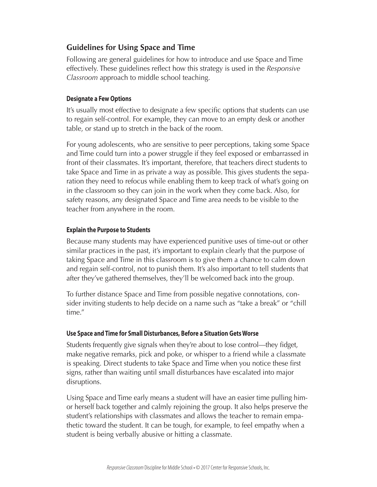## **Guidelines for Using Space and Time**

Following are general guidelines for how to introduce and use Space and Time effectively. These guidelines reflect how this strategy is used in the *Responsive Classroom* approach to middle school teaching.

### **Designate a Few Options**

It's usually most effective to designate a few specific options that students can use to regain self-control. For example, they can move to an empty desk or another table, or stand up to stretch in the back of the room.

For young adolescents, who are sensitive to peer perceptions, taking some Space and Time could turn into a power struggle if they feel exposed or embarrassed in front of their classmates. It's important, therefore, that teachers direct students to take Space and Time in as private a way as possible. This gives students the separation they need to refocus while enabling them to keep track of what's going on in the classroom so they can join in the work when they come back. Also, for safety reasons, any designated Space and Time area needs to be visible to the teacher from anywhere in the room.

### **Explain the Purpose to Students**

Because many students may have experienced punitive uses of time-out or other similar practices in the past, it's important to explain clearly that the purpose of taking Space and Time in this classroom is to give them a chance to calm down and regain self-control, not to punish them. It's also important to tell students that after they've gathered themselves, they'll be welcomed back into the group.

To further distance Space and Time from possible negative connotations, consider inviting students to help decide on a name such as "take a break" or "chill time."

### **Use Space and Time for Small Disturbances, Before a Situation Gets Worse**

Students frequently give signals when they're about to lose control—they fidget, make negative remarks, pick and poke, or whisper to a friend while a classmate is speaking. Direct students to take Space and Time when you notice these first signs, rather than waiting until small disturbances have escalated into major disruptions.

Using Space and Time early means a student will have an easier time pulling himor herself back together and calmly rejoining the group. It also helps preserve the student's relationships with classmates and allows the teacher to remain empathetic toward the student. It can be tough, for example, to feel empathy when a student is being verbally abusive or hitting a classmate.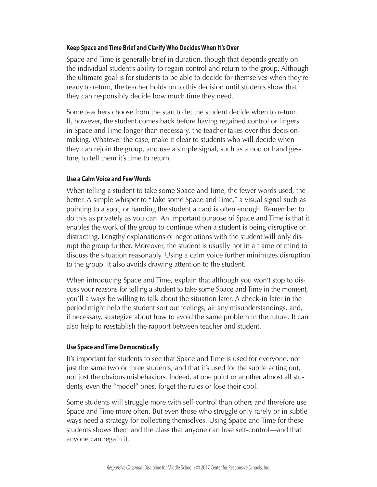#### **Keep Space and Time Brief and Clarify Who Decides When It's Over**

Space and Time is generally brief in duration, though that depends greatly on the individual student's ability to regain control and return to the group. Although the ultimate goal is for students to be able to decide for themselves when they're ready to return, the teacher holds on to this decision until students show that they can responsibly decide how much time they need.

Some teachers choose from the start to let the student decide when to return. If, however, the student comes back before having regained control or lingers in Space and Time longer than necessary, the teacher takes over this decisionmaking. Whatever the case, make it clear to students who will decide when they can rejoin the group, and use a simple signal, such as a nod or hand gesture, to tell them it's time to return.

#### **Use a Calm Voice and Few Words**

When telling a student to take some Space and Time, the fewer words used, the better. A simple whisper to "Take some Space and Time," a visual signal such as pointing to a spot, or handing the student a card is often enough. Remember to do this as privately as you can. An important purpose of Space and Time is that it enables the work of the group to continue when a student is being disruptive or distracting. Lengthy explanations or negotiations with the student will only disrupt the group further. Moreover, the student is usually not in a frame of mind to discuss the situation reasonably. Using a calm voice further minimizes disruption to the group. It also avoids drawing attention to the student.

When introducing Space and Time, explain that although you won't stop to discuss your reasons for telling a student to take some Space and Time in the moment, you'll always be willing to talk about the situation later. A check-in later in the period might help the student sort out feelings, air any misunderstandings, and, if necessary, strategize about how to avoid the same problem in the future. It can also help to reestablish the rapport between teacher and student.

#### **Use Space and Time Democratically**

It's important for students to see that Space and Time is used for everyone, not just the same two or three students, and that it's used for the subtle acting out, not just the obvious misbehaviors. Indeed, at one point or another almost all students, even the "model" ones, forget the rules or lose their cool.

Some students will struggle more with self-control than others and therefore use Space and Time more often. But even those who struggle only rarely or in subtle ways need a strategy for collecting themselves. Using Space and Time for these students shows them and the class that anyone can lose self-control—and that anyone can regain it.